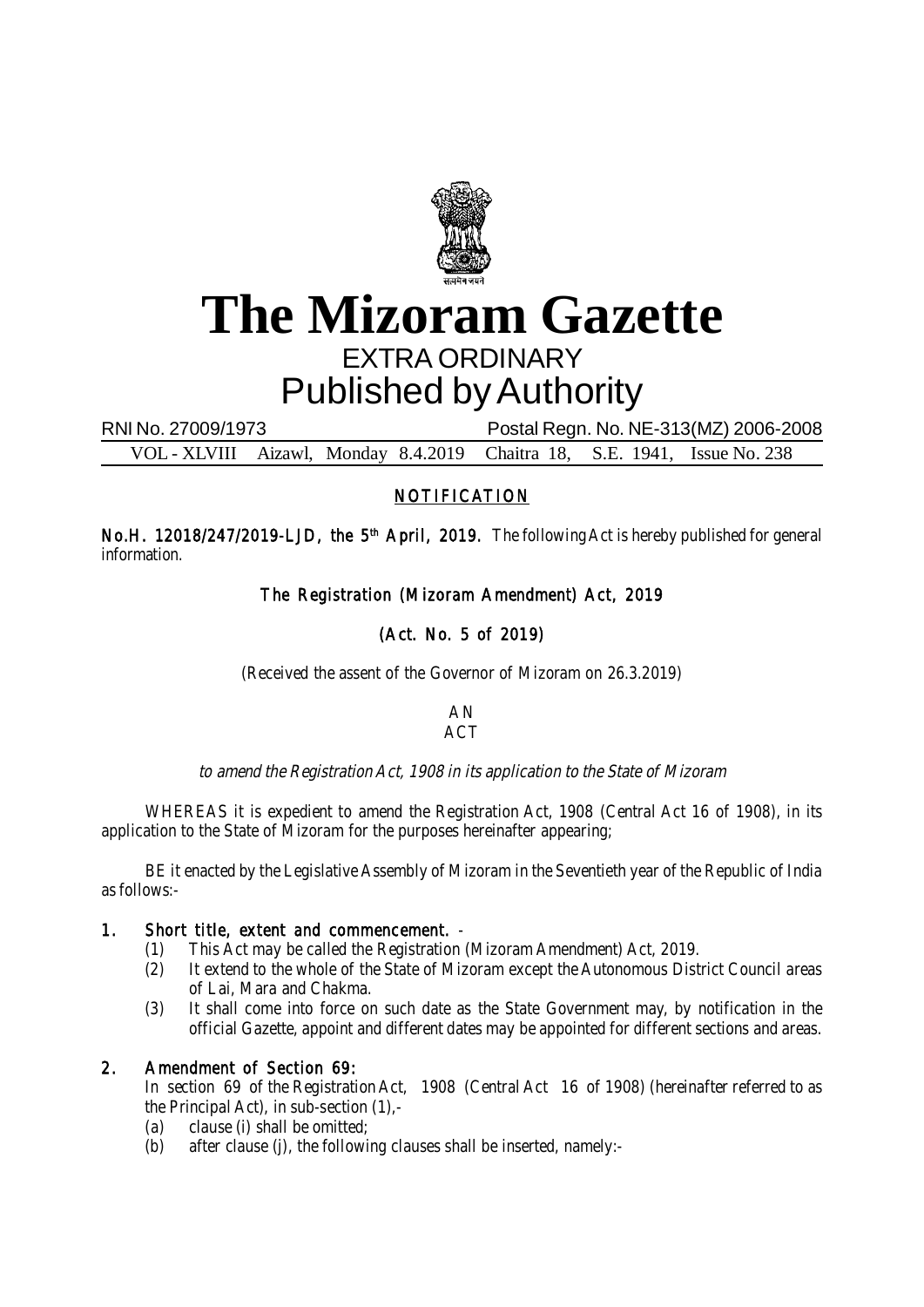

# **The Mizoram Gazette** EXTRA ORDINARY Published by Authority

RNI No. 27009/1973 Postal Regn. No. NE-313(MZ) 2006-2008

VOL - XLVIII Aizawl, Monday 8.4.2019 Chaitra 18, S.E. 1941, Issue No. 238

# NOTIFICATION

No.H. 12018/247/2019-LJD, the 5<sup>th</sup> April, 2019. The following Act is hereby published for general information.

# The Registration (Mizoram Amendment) Act, 2019

# (Act. No. 5 of 2019)

(Received the assent of the Governor of Mizoram on 26.3.2019)

#### AN ACT

# to amend the Registration Act, 1908 in its application to the State of Mizoram

WHEREAS it is expedient to amend the Registration Act, 1908 (Central Act 16 of 1908), in its application to the State of Mizoram for the purposes hereinafter appearing;

BE it enacted by the Legislative Assembly of Mizoram in the Seventieth year of the Republic of India as follows:-

# 1. Short title, extent and commencement. -

- (1) This Act may be called the Registration (Mizoram Amendment) Act, 2019.
- (2) It extend to the whole of the State of Mizoram except the Autonomous District Council areas of Lai, Mara and Chakma.
- (3) It shall come into force on such date as the State Government may, by notification in the official Gazette, appoint and different dates may be appointed for different sections and areas.

# 2. Amendment of Section 69:

In section 69 of the Registration Act, 1908 (Central Act 16 of 1908) (hereinafter referred to as the Principal Act), in sub-section (1),-

- (a) clause (i) shall be omitted;
- (b) after clause (j), the following clauses shall be inserted, namely:-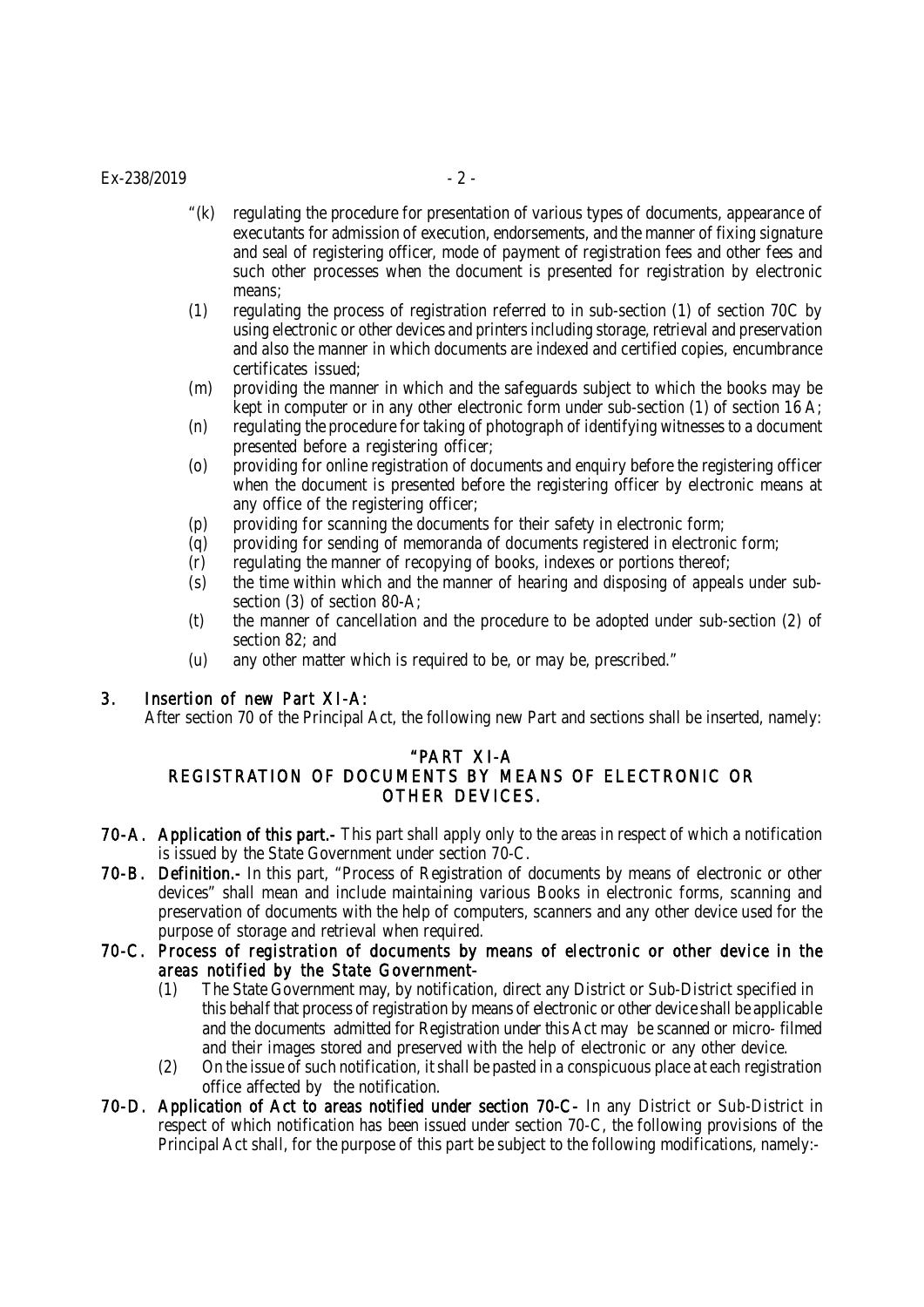#### $Ex-238/2019$  - 2 -

- "(k) regulating the procedure for presentation of various types of documents, appearance of executants for admission of execution, endorsements, and the manner of fixing signature and seal of registering officer, mode of payment of registration fees and other fees and such other processes when the document is presented for registration by electronic means;
- (1) regulating the process of registration referred to in sub-section (1) of section 70C by using electronic or other devices and printers including storage, retrieval and preservation and also the manner in which documents are indexed and certified copies, encumbrance certificates issued;
- (m) providing the manner in which and the safeguards subject to which the books may be kept in computer or in any other electronic form under sub-section (1) of section 16 A;
- (n) regulating the procedure for taking of photograph of identifying witnesses to a document presented before a registering officer;
- (o) providing for online registration of documents and enquiry before the registering officer when the document is presented before the registering officer by electronic means at any office of the registering officer;
- (p) providing for scanning the documents for their safety in electronic form;
- (q) providing for sending of memoranda of documents registered in electronic form;
- (r) regulating the manner of recopying of books, indexes or portions thereof;
- (s) the time within which and the manner of hearing and disposing of appeals under subsection (3) of section 80-A;
- (t) the manner of cancellation and the procedure to be adopted under sub-section (2) of section 82; and
- (u) any other matter which is required to be, or may be, prescribed."

#### 3. Insertion of new Part XI-A:

After section 70 of the Principal Act, the following new Part and sections shall be inserted, namely:

#### "PART XI-A

# REGISTRATION OF DOCUMENTS BY MEANS OF ELECTRONIC OR OTHER DEVICES.

- 70-A. Application of this part.- This part shall apply only to the areas in respect of which a notification is issued by the State Government under section 70-C.
- 70-B. Definition.- In this part, "Process of Registration of documents by means of electronic or other devices" shall mean and include maintaining various Books in electronic forms, scanning and preservation of documents with the help of computers, scanners and any other device used for the purpose of storage and retrieval when required.
- 70-C. Process of registration of documents by means of electronic or other device in the areas notified by the State Government-
	- (1) The State Government may, by notification, direct any District or Sub-District specified in this behalf that process of registration by means of electronic or other device shall be applicable and the documents admitted for Registration under this Act may be scanned or micro- filmed and their images stored and preserved with the help of electronic or any other device.
	- (2) On the issue of such notification, it shall be pasted in a conspicuous place at each registration office affected by the notification.
- 70-D. Application of Act to areas notified under section 70-C- In any District or Sub-District in respect of which notification has been issued under section 70-C, the following provisions of the Principal Act shall, for the purpose of this part be subject to the following modifications, namely:-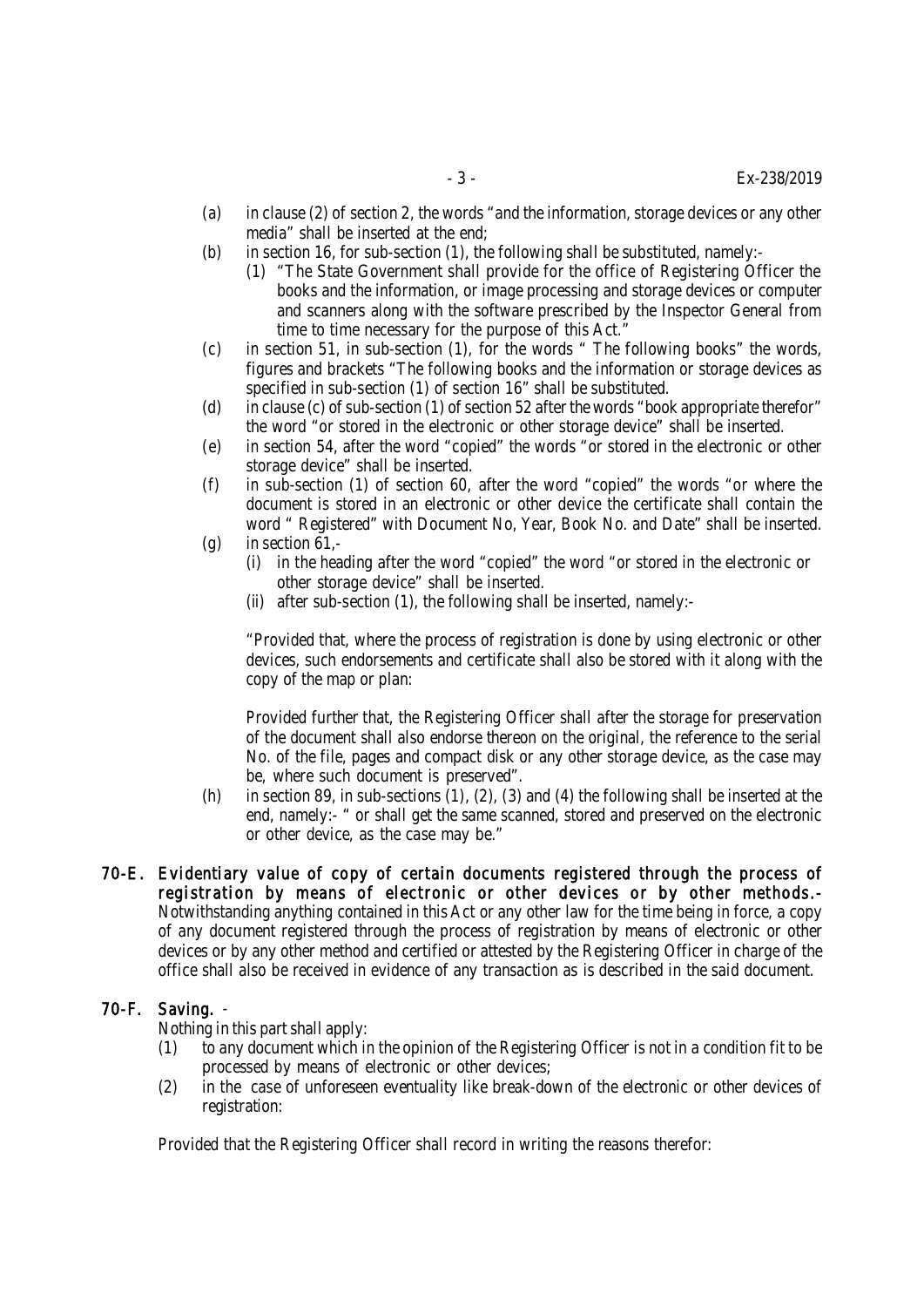- (a) in clause (2) of section 2, the words "and the information, storage devices or any other media" shall be inserted at the end;
- (b) in section 16, for sub-section (1), the following shall be substituted, namely:-
	- (1) "The State Government shall provide for the office of Registering Officer the books and the information, or image processing and storage devices or computer and scanners along with the software prescribed by the Inspector General from time to time necessary for the purpose of this Act."
- (c) in section 51, in sub-section (1), for the words " The following books" the words, figures and brackets "The following books and the information or storage devices as specified in sub-section (1) of section 16" shall be substituted.
- (d) in clause (c) of sub-section (1) of section 52 after the words "book appropriate therefor" the word "or stored in the electronic or other storage device" shall be inserted.
- (e) in section 54, after the word "copied" the words "or stored in the electronic or other storage device" shall be inserted.
- (f) in sub-section (1) of section 60, after the word "copied" the words "or where the document is stored in an electronic or other device the certificate shall contain the word " Registered" with Document No, Year, Book No. and Date" shall be inserted.  $(q)$  in section 61,-
	- (i) in the heading after the word "copied" the word "or stored in the electronic or other storage device" shall be inserted.
	- (ii) after sub-section (1), the following shall be inserted, namely:-

"Provided that, where the process of registration is done by using electronic or other devices, such endorsements and certificate shall also be stored with it along with the copy of the map or plan:

Provided further that, the Registering Officer shall after the storage for preservation of the document shall also endorse thereon on the original, the reference to the serial No. of the file, pages and compact disk or any other storage device, as the case may be, where such document is preserved".

- (h) in section 89, in sub-sections (1), (2), (3) and (4) the following shall be inserted at the end, namely:- " or shall get the same scanned, stored and preserved on the electronic or other device, as the case may be."
- 70-E. Evidentiary value of copy of certain documents registered through the process of registration by means of electronic or other devices or by other methods.- Notwithstanding anything contained in this Act or any other law for the time being in force, a copy of any document registered through the process of registration by means of electronic or other devices or by any other method and certified or attested by the Registering Officer in charge of the office shall also be received in evidence of any transaction as is described in the said document.

#### 70-F. Saving. -

Nothing in this part shall apply:

- (1) to any document which in the opinion of the Registering Officer is not in a condition fit to be processed by means of electronic or other devices;
- (2) in the case of unforeseen eventuality like break-down of the electronic or other devices of registration:

Provided that the Registering Officer shall record in writing the reasons therefor: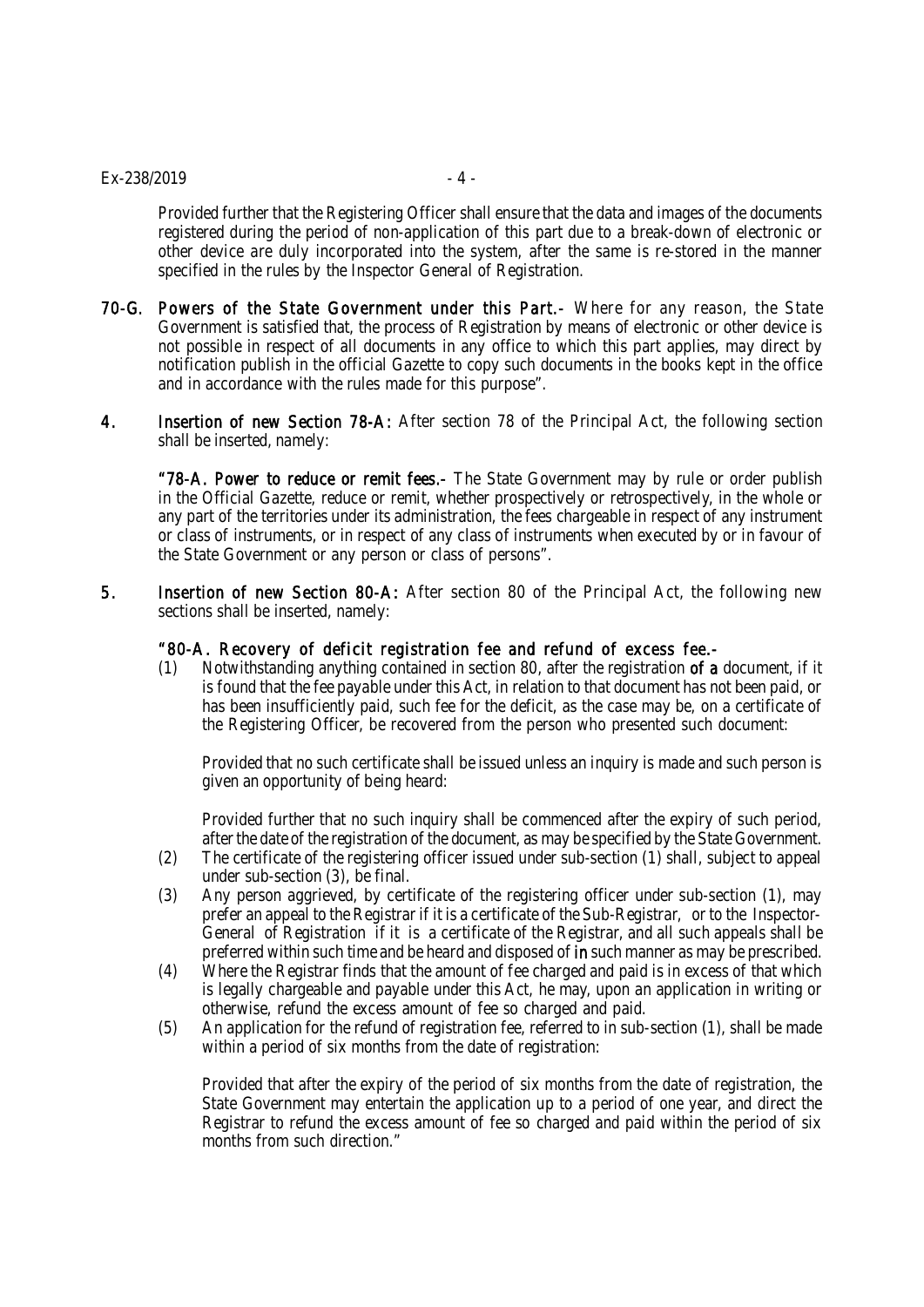#### $Ex-238/2019$  - 4 -

Provided further that the Registering Officer shall ensure that the data and images of the documents registered during the period of non-application of this part due to a break-down of electronic or other device are duly incorporated into the system, after the same is re-stored in the manner specified in the rules by the Inspector General of Registration.

- 70-G. Powers of the State Government under this Part.- Where for any reason, the State Government is satisfied that, the process of Registration by means of electronic or other device is not possible in respect of all documents in any office to which this part applies, may direct by notification publish in the official Gazette to copy such documents in the books kept in the office and in accordance with the rules made for this purpose".
- 4. Insertion of new Section 78-A: After section 78 of the Principal Act, the following section shall be inserted, namely:

"78-A. Power to reduce or remit fees.- The State Government may by rule or order publish in the Official Gazette, reduce or remit, whether prospectively or retrospectively, in the whole or any part of the territories under its administration, the fees chargeable in respect of any instrument or class of instruments, or in respect of any class of instruments when executed by or in favour of the State Government or any person or class of persons".

5. Insertion of new Section 80-A: After section 80 of the Principal Act, the following new sections shall be inserted, namely:

#### "80-A. Recovery of deficit registration fee and refund of excess fee.-

(1) Notwithstanding anything contained in section 80, after the registration of a document, if it is found that the fee payable under this Act, in relation to that document has not been paid, or has been insufficiently paid, such fee for the deficit, as the case may be, on a certificate of the Registering Officer, be recovered from the person who presented such document:

Provided that no such certificate shall be issued unless an inquiry is made and such person is given an opportunity of being heard:

Provided further that no such inquiry shall be commenced after the expiry of such period, after the date of the registration of the document, as may be specified by the State Government.

- (2) The certificate of the registering officer issued under sub-section (1) shall, subject to appeal under sub-section (3), be final.
- (3) Any person aggrieved, by certificate of the registering officer under sub-section (1), may prefer an appeal to the Registrar if it is a certificate of the Sub-Registrar, or to the Inspector-General of Registration if it is a certificate of the Registrar, and all such appeals shall be preferred within such time and be heard and disposed of in such manner as may be prescribed.
- (4) Where the Registrar finds that the amount of fee charged and paid is in excess of that which is legally chargeable and payable under this Act, he may, upon an application in writing or otherwise, refund the excess amount of fee so charged and paid.
- (5) An application for the refund of registration fee, referred to in sub-section (1), shall be made within a period of six months from the date of registration:

Provided that after the expiry of the period of six months from the date of registration, the State Government may entertain the application up to a period of one year, and direct the Registrar to refund the excess amount of fee so charged and paid within the period of six months from such direction."